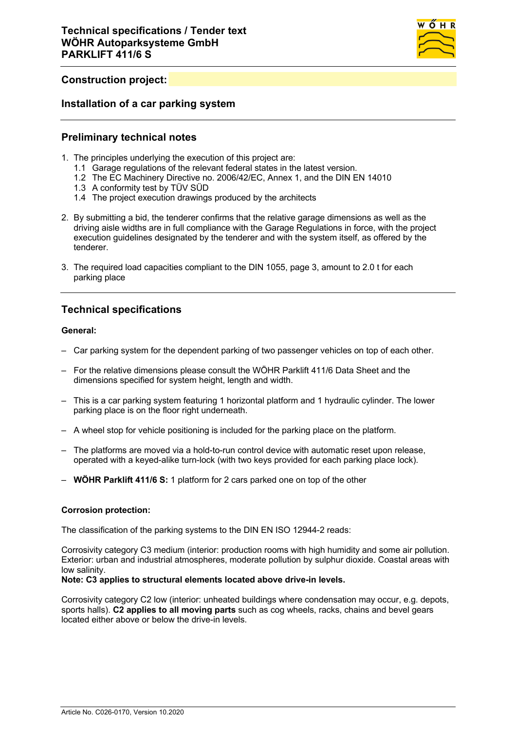

# **Construction project:**

### **Installation of a car parking system**

### **Preliminary technical notes**

- 1. The principles underlying the execution of this project are:
	- 1.1 Garage regulations of the relevant federal states in the latest version.
	- 1.2 The EC Machinery Directive no. 2006/42/EC, Annex 1, and the DIN EN 14010
	- 1.3 A conformity test by TÜV SÜD
	- 1.4 The project execution drawings produced by the architects
- 2. By submitting a bid, the tenderer confirms that the relative garage dimensions as well as the driving aisle widths are in full compliance with the Garage Regulations in force, with the project execution guidelines designated by the tenderer and with the system itself, as offered by the tenderer.
- 3. The required load capacities compliant to the DIN 1055, page 3, amount to 2.0 t for each parking place

# **Technical specifications**

### **General:**

- Car parking system for the dependent parking of two passenger vehicles on top of each other.
- For the relative dimensions please consult the WÖHR Parklift 411/6 Data Sheet and the dimensions specified for system height, length and width.
- This is a car parking system featuring 1 horizontal platform and 1 hydraulic cylinder. The lower parking place is on the floor right underneath.
- A wheel stop for vehicle positioning is included for the parking place on the platform.
- The platforms are moved via a hold-to-run control device with automatic reset upon release, operated with a keyed-alike turn-lock (with two keys provided for each parking place lock).
- **WÖHR Parklift 411/6 S:** 1 platform for 2 cars parked one on top of the other

#### **Corrosion protection:**

The classification of the parking systems to the DIN EN ISO 12944-2 reads:

Corrosivity category C3 medium (interior: production rooms with high humidity and some air pollution. Exterior: urban and industrial atmospheres, moderate pollution by sulphur dioxide. Coastal areas with low salinity.

#### **Note: C3 applies to structural elements located above drive-in levels.**

Corrosivity category C2 low (interior: unheated buildings where condensation may occur, e.g. depots, sports halls). **C2 applies to all moving parts** such as cog wheels, racks, chains and bevel gears located either above or below the drive-in levels.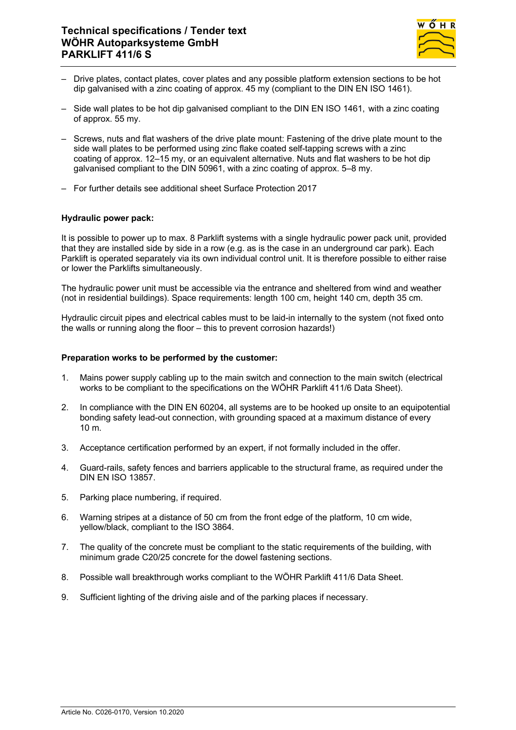

- Drive plates, contact plates, cover plates and any possible platform extension sections to be hot dip galvanised with a zinc coating of approx. 45 my (compliant to the DIN EN ISO 1461).
- Side wall plates to be hot dip galvanised compliant to the DIN EN ISO 1461, with a zinc coating of approx. 55 my.
- Screws, nuts and flat washers of the drive plate mount: Fastening of the drive plate mount to the side wall plates to be performed using zinc flake coated self-tapping screws with a zinc coating of approx. 12–15 my, or an equivalent alternative. Nuts and flat washers to be hot dip galvanised compliant to the DIN 50961, with a zinc coating of approx. 5–8 my.
- For further details see additional sheet Surface Protection 2017

### **Hydraulic power pack:**

It is possible to power up to max. 8 Parklift systems with a single hydraulic power pack unit, provided that they are installed side by side in a row (e.g. as is the case in an underground car park). Each Parklift is operated separately via its own individual control unit. It is therefore possible to either raise or lower the Parklifts simultaneously.

The hydraulic power unit must be accessible via the entrance and sheltered from wind and weather (not in residential buildings). Space requirements: length 100 cm, height 140 cm, depth 35 cm.

Hydraulic circuit pipes and electrical cables must to be laid-in internally to the system (not fixed onto the walls or running along the floor – this to prevent corrosion hazards!)

#### **Preparation works to be performed by the customer:**

- 1. Mains power supply cabling up to the main switch and connection to the main switch (electrical works to be compliant to the specifications on the WÖHR Parklift 411/6 Data Sheet).
- 2. In compliance with the DIN EN 60204, all systems are to be hooked up onsite to an equipotential bonding safety lead-out connection, with grounding spaced at a maximum distance of every 10 m.
- 3. Acceptance certification performed by an expert, if not formally included in the offer.
- 4. Guard-rails, safety fences and barriers applicable to the structural frame, as required under the DIN EN ISO 13857.
- 5. Parking place numbering, if required.
- 6. Warning stripes at a distance of 50 cm from the front edge of the platform, 10 cm wide, yellow/black, compliant to the ISO 3864.
- 7. The quality of the concrete must be compliant to the static requirements of the building, with minimum grade C20/25 concrete for the dowel fastening sections.
- 8. Possible wall breakthrough works compliant to the WÖHR Parklift 411/6 Data Sheet.
- 9. Sufficient lighting of the driving aisle and of the parking places if necessary.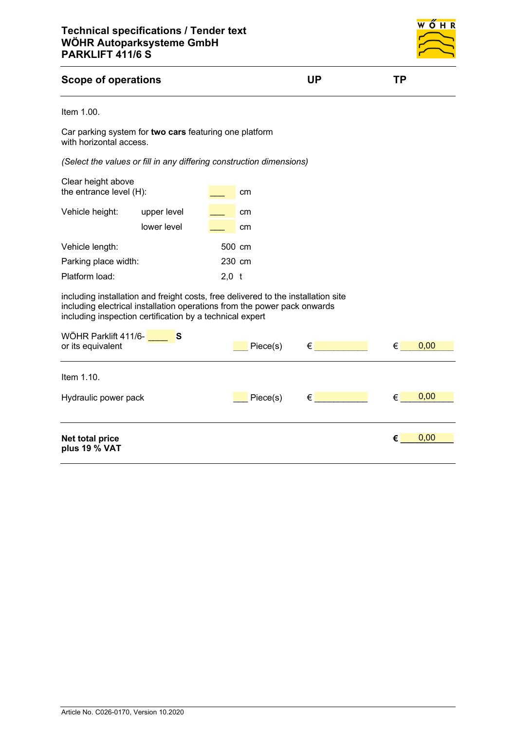

## **Scope of operations UP TP**

```
Item 1.00.
```
Car parking system for **two cars** featuring one platform with horizontal access.

*(Select the values or fill in any differing construction dimensions)*

| Clear height above      |             |        |    |  |  |
|-------------------------|-------------|--------|----|--|--|
| the entrance level (H): |             |        | cm |  |  |
| Vehicle height:         | upper level |        | cm |  |  |
|                         | lower level |        | cm |  |  |
| Vehicle length:         |             | 500 cm |    |  |  |
| Parking place width:    |             | 230 cm |    |  |  |
| Platform load:          |             | 2.0    | t  |  |  |

including installation and freight costs, free delivered to the installation site including electrical installation operations from the power pack onwards including inspection certification by a technical expert

| WÖHR Parklift 411/6-<br><b>S</b><br>or its equivalent | Piece(s) | € | €          | 0,00 |
|-------------------------------------------------------|----------|---|------------|------|
| Item 1.10.                                            |          |   |            |      |
| Hydraulic power pack                                  | Piece(s) | € | $\epsilon$ | 0,00 |
| <b>Net total price</b><br>plus 19 % VAT               |          |   | €          | 0,00 |